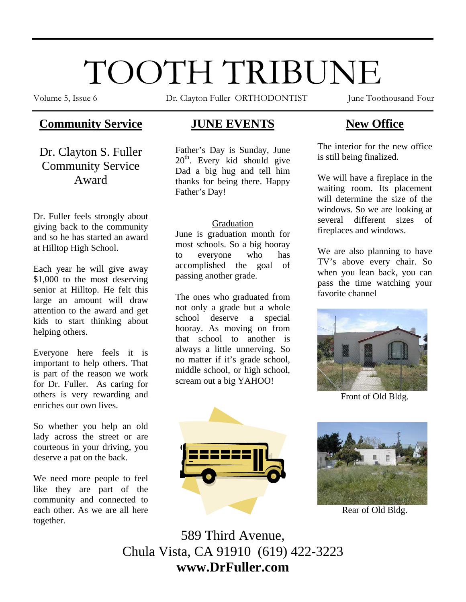# TOOTH TRIBUNE

Volume 5, Issue 6 Dr. Clayton Fuller ORTHODONTIST June Toothousand-Four

# **Community Service**

Dr. Clayton S. Fuller Community Service Award

Dr. Fuller feels strongly about giving back to the community and so he has started an award at Hilltop High School.

Each year he will give away \$1,000 to the most deserving senior at Hilltop. He felt this large an amount will draw attention to the award and get kids to start thinking about helping others.

Everyone here feels it is important to help others. That is part of the reason we work for Dr. Fuller. As caring for others is very rewarding and enriches our own lives.

So whether you help an old lady across the street or are courteous in your driving, you deserve a pat on the back.

We need more people to feel like they are part of the community and connected to each other. As we are all here together.

# **JUNE EVENTS**

Father's Day is Sunday, June 20<sup>th</sup>. Every kid should give Dad a big hug and tell him thanks for being there. Happy Father's Day!

## Graduation

June is graduation month for most schools. So a big hooray to everyone who has accomplished the goal of passing another grade.

The ones who graduated from not only a grade but a whole school deserve a special hooray. As moving on from that school to another is always a little unnerving. So no matter if it's grade school, middle school, or high school, scream out a big YAHOO!

# **New Office**

The interior for the new office is still being finalized.

We will have a fireplace in the waiting room. Its placement will determine the size of the windows. So we are looking at several different sizes of fireplaces and windows.

We are also planning to have TV's above every chair. So when you lean back, you can pass the time watching your favorite channel



Front of Old Bldg.





Rear of Old Bldg.

589 Third Avenue, Chula Vista, CA 91910 (619) 422-3223 **www.DrFuller.com**